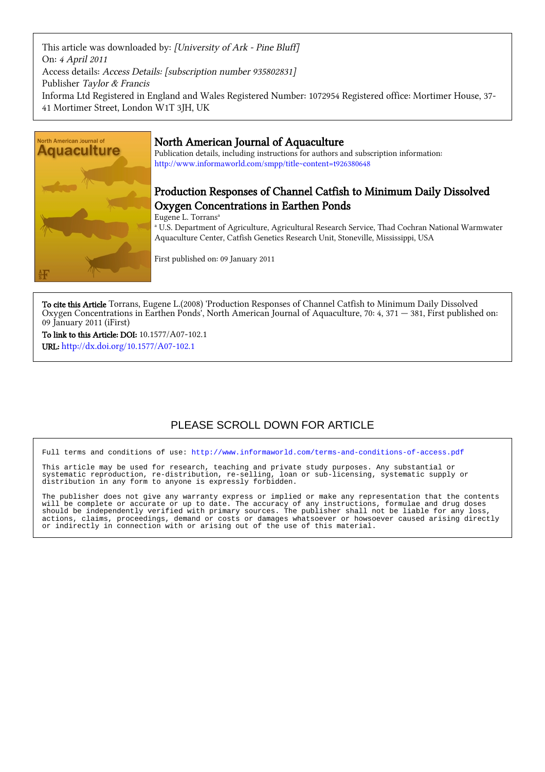This article was downloaded by: [University of Ark - Pine Bluff] On: 4 April 2011 Access details: Access Details: [subscription number 935802831] Publisher Taylor & Francis Informa Ltd Registered in England and Wales Registered Number: 1072954 Registered office: Mortimer House, 37- 41 Mortimer Street, London W1T 3JH, UK



# North American Journal of Aquaculture

Publication details, including instructions for authors and subscription information: <http://www.informaworld.com/smpp/title~content=t926380648>

# Production Responses of Channel Catfish to Minimum Daily Dissolved Oxygen Concentrations in Earthen Ponds

Eugene L. Torrans<sup>a</sup>

a U.S. Department of Agriculture, Agricultural Research Service, Thad Cochran National Warmwater Aquaculture Center, Catfish Genetics Research Unit, Stoneville, Mississippi, USA

First published on: 09 January 2011

To cite this Article Torrans, Eugene L.(2008) 'Production Responses of Channel Catfish to Minimum Daily Dissolved Oxygen Concentrations in Earthen Ponds', North American Journal of Aquaculture, 70: 4, 371 — 381, First published on: 09 January 2011 (iFirst)

To link to this Article: DOI: 10.1577/A07-102.1 URL: <http://dx.doi.org/10.1577/A07-102.1>

# PLEASE SCROLL DOWN FOR ARTICLE

Full terms and conditions of use:<http://www.informaworld.com/terms-and-conditions-of-access.pdf>

This article may be used for research, teaching and private study purposes. Any substantial or systematic reproduction, re-distribution, re-selling, loan or sub-licensing, systematic supply or distribution in any form to anyone is expressly forbidden.

The publisher does not give any warranty express or implied or make any representation that the contents will be complete or accurate or up to date. The accuracy of any instructions, formulae and drug doses should be independently verified with primary sources. The publisher shall not be liable for any loss, actions, claims, proceedings, demand or costs or damages whatsoever or howsoever caused arising directly or indirectly in connection with or arising out of the use of this material.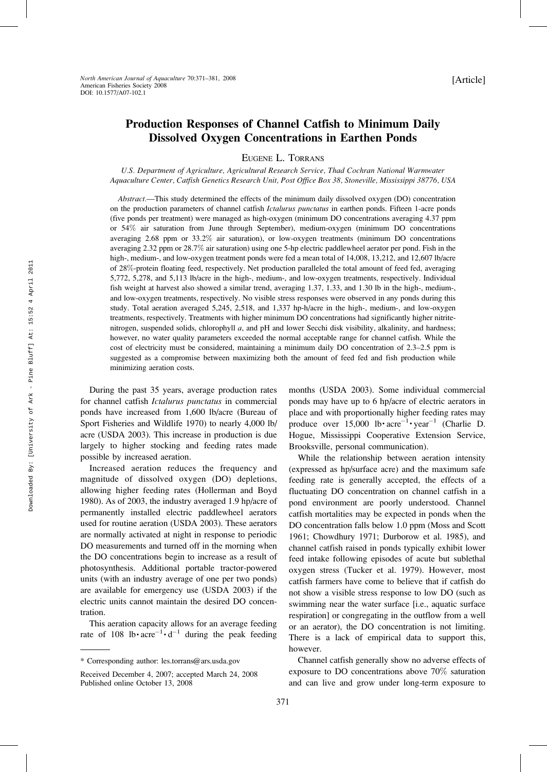# Production Responses of Channel Catfish to Minimum Daily Dissolved Oxygen Concentrations in Earthen Ponds

EUGENE L. TORRANS

U.S. Department of Agriculture, Agricultural Research Service, Thad Cochran National Warmwater Aquaculture Center, Catfish Genetics Research Unit, Post Office Box 38, Stoneville, Mississippi 38776, USA

Abstract.—This study determined the effects of the minimum daily dissolved oxygen (DO) concentration on the production parameters of channel catfish Ictalurus punctatus in earthen ponds. Fifteen 1-acre ponds (five ponds per treatment) were managed as high-oxygen (minimum DO concentrations averaging 4.37 ppm or 54% air saturation from June through September), medium-oxygen (minimum DO concentrations averaging 2.68 ppm or 33.2% air saturation), or low-oxygen treatments (minimum DO concentrations averaging 2.32 ppm or 28.7% air saturation) using one 5-hp electric paddlewheel aerator per pond. Fish in the high-, medium-, and low-oxygen treatment ponds were fed a mean total of 14,008, 13,212, and 12,607 lb/acre of 28%-protein floating feed, respectively. Net production paralleled the total amount of feed fed, averaging 5,772, 5,278, and 5,113 lb/acre in the high-, medium-, and low-oxygen treatments, respectively. Individual fish weight at harvest also showed a similar trend, averaging 1.37, 1.33, and 1.30 lb in the high-, medium-, and low-oxygen treatments, respectively. No visible stress responses were observed in any ponds during this study. Total aeration averaged 5,245, 2,518, and 1,337 hp-h/acre in the high-, medium-, and low-oxygen treatments, respectively. Treatments with higher minimum DO concentrations had significantly higher nitritenitrogen, suspended solids, chlorophyll a, and pH and lower Secchi disk visibility, alkalinity, and hardness; however, no water quality parameters exceeded the normal acceptable range for channel catfish. While the cost of electricity must be considered, maintaining a minimum daily DO concentration of 2.3–2.5 ppm is suggested as a compromise between maximizing both the amount of feed fed and fish production while minimizing aeration costs.

During the past 35 years, average production rates for channel catfish Ictalurus punctatus in commercial ponds have increased from 1,600 lb/acre (Bureau of Sport Fisheries and Wildlife 1970) to nearly 4,000 lb/ acre (USDA 2003). This increase in production is due largely to higher stocking and feeding rates made possible by increased aeration.

Increased aeration reduces the frequency and magnitude of dissolved oxygen (DO) depletions, allowing higher feeding rates (Hollerman and Boyd 1980). As of 2003, the industry averaged 1.9 hp/acre of permanently installed electric paddlewheel aerators used for routine aeration (USDA 2003). These aerators are normally activated at night in response to periodic DO measurements and turned off in the morning when the DO concentrations begin to increase as a result of photosynthesis. Additional portable tractor-powered units (with an industry average of one per two ponds) are available for emergency use (USDA 2003) if the electric units cannot maintain the desired DO concentration.

This aeration capacity allows for an average feeding rate of 108 lb· $\arccos{a}^{-1}$ · $d^{-1}$  during the peak feeding months (USDA 2003). Some individual commercial ponds may have up to 6 hp/acre of electric aerators in place and with proportionally higher feeding rates may produce over  $15,000$  lb· $\arctan^{-1}$ · year<sup>-1</sup> (Charlie D. Hogue, Mississippi Cooperative Extension Service, Brooksville, personal communication).

While the relationship between aeration intensity (expressed as hp/surface acre) and the maximum safe feeding rate is generally accepted, the effects of a fluctuating DO concentration on channel catfish in a pond environment are poorly understood. Channel catfish mortalities may be expected in ponds when the DO concentration falls below 1.0 ppm (Moss and Scott 1961; Chowdhury 1971; Durborow et al. 1985), and channel catfish raised in ponds typically exhibit lower feed intake following episodes of acute but sublethal oxygen stress (Tucker et al. 1979). However, most catfish farmers have come to believe that if catfish do not show a visible stress response to low DO (such as swimming near the water surface [i.e., aquatic surface respiration] or congregating in the outflow from a well or an aerator), the DO concentration is not limiting. There is a lack of empirical data to support this, however.

Channel catfish generally show no adverse effects of exposure to DO concentrations above 70% saturation and can live and grow under long-term exposure to

<sup>\*</sup> Corresponding author: les.torrans@ars.usda.gov

Received December 4, 2007; accepted March 24, 2008 Published online October 13, 2008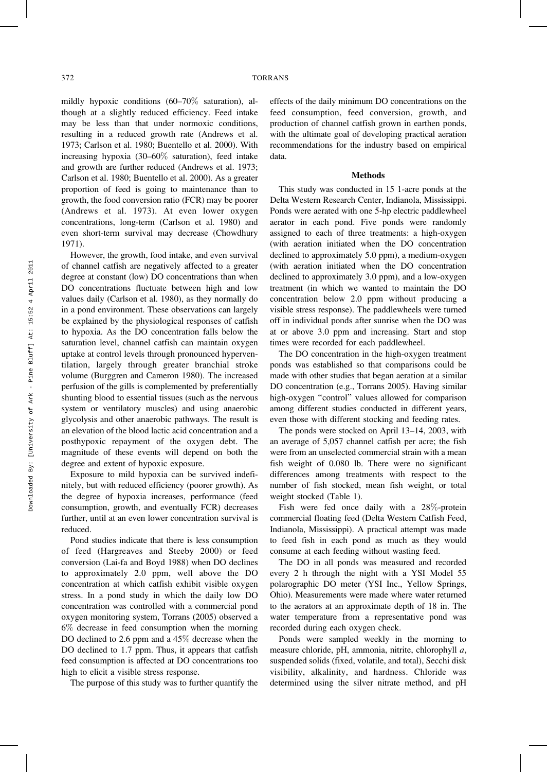mildly hypoxic conditions (60–70% saturation), although at a slightly reduced efficiency. Feed intake may be less than that under normoxic conditions, resulting in a reduced growth rate (Andrews et al. 1973; Carlson et al. 1980; Buentello et al. 2000). With increasing hypoxia (30–60% saturation), feed intake and growth are further reduced (Andrews et al. 1973; Carlson et al. 1980; Buentello et al. 2000). As a greater proportion of feed is going to maintenance than to growth, the food conversion ratio (FCR) may be poorer (Andrews et al. 1973). At even lower oxygen concentrations, long-term (Carlson et al. 1980) and even short-term survival may decrease (Chowdhury 1971).

However, the growth, food intake, and even survival of channel catfish are negatively affected to a greater degree at constant (low) DO concentrations than when DO concentrations fluctuate between high and low values daily (Carlson et al. 1980), as they normally do in a pond environment. These observations can largely be explained by the physiological responses of catfish to hypoxia. As the DO concentration falls below the saturation level, channel catfish can maintain oxygen uptake at control levels through pronounced hyperventilation, largely through greater branchial stroke volume (Burggren and Cameron 1980). The increased perfusion of the gills is complemented by preferentially shunting blood to essential tissues (such as the nervous system or ventilatory muscles) and using anaerobic glycolysis and other anaerobic pathways. The result is an elevation of the blood lactic acid concentration and a posthypoxic repayment of the oxygen debt. The magnitude of these events will depend on both the degree and extent of hypoxic exposure.

Exposure to mild hypoxia can be survived indefinitely, but with reduced efficiency (poorer growth). As the degree of hypoxia increases, performance (feed consumption, growth, and eventually FCR) decreases further, until at an even lower concentration survival is reduced.

Pond studies indicate that there is less consumption of feed (Hargreaves and Steeby 2000) or feed conversion (Lai-fa and Boyd 1988) when DO declines to approximately 2.0 ppm, well above the DO concentration at which catfish exhibit visible oxygen stress. In a pond study in which the daily low DO concentration was controlled with a commercial pond oxygen monitoring system, Torrans (2005) observed a 6% decrease in feed consumption when the morning DO declined to 2.6 ppm and a 45% decrease when the DO declined to 1.7 ppm. Thus, it appears that catfish feed consumption is affected at DO concentrations too high to elicit a visible stress response.

The purpose of this study was to further quantify the

effects of the daily minimum DO concentrations on the feed consumption, feed conversion, growth, and production of channel catfish grown in earthen ponds, with the ultimate goal of developing practical aeration recommendations for the industry based on empirical data.

## Methods

This study was conducted in 15 1-acre ponds at the Delta Western Research Center, Indianola, Mississippi. Ponds were aerated with one 5-hp electric paddlewheel aerator in each pond. Five ponds were randomly assigned to each of three treatments: a high-oxygen (with aeration initiated when the DO concentration declined to approximately 5.0 ppm), a medium-oxygen (with aeration initiated when the DO concentration declined to approximately 3.0 ppm), and a low-oxygen treatment (in which we wanted to maintain the DO concentration below 2.0 ppm without producing a visible stress response). The paddlewheels were turned off in individual ponds after sunrise when the DO was at or above 3.0 ppm and increasing. Start and stop times were recorded for each paddlewheel.

The DO concentration in the high-oxygen treatment ponds was established so that comparisons could be made with other studies that began aeration at a similar DO concentration (e.g., Torrans 2005). Having similar high-oxygen ''control'' values allowed for comparison among different studies conducted in different years, even those with different stocking and feeding rates.

The ponds were stocked on April 13–14, 2003, with an average of 5,057 channel catfish per acre; the fish were from an unselected commercial strain with a mean fish weight of 0.080 lb. There were no significant differences among treatments with respect to the number of fish stocked, mean fish weight, or total weight stocked (Table 1).

Fish were fed once daily with a 28%-protein commercial floating feed (Delta Western Catfish Feed, Indianola, Mississippi). A practical attempt was made to feed fish in each pond as much as they would consume at each feeding without wasting feed.

The DO in all ponds was measured and recorded every 2 h through the night with a YSI Model 55 polarographic DO meter (YSI Inc., Yellow Springs, Ohio). Measurements were made where water returned to the aerators at an approximate depth of 18 in. The water temperature from a representative pond was recorded during each oxygen check.

Ponds were sampled weekly in the morning to measure chloride, pH, ammonia, nitrite, chlorophyll a, suspended solids (fixed, volatile, and total), Secchi disk visibility, alkalinity, and hardness. Chloride was determined using the silver nitrate method, and pH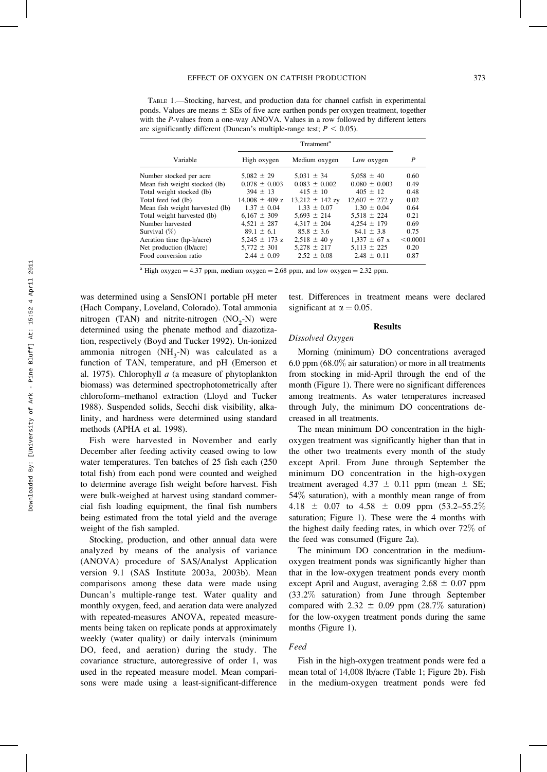TABLE 1.—Stocking, harvest, and production data for channel catfish in experimental ponds. Values are means  $\pm$  SEs of five acre earthen ponds per oxygen treatment, together with the P-values from a one-way ANOVA. Values in a row followed by different letters are significantly different (Duncan's multiple-range test;  $P < 0.05$ ).

| High oxygen        | Medium oxygen       | Low oxygen             | P        |
|--------------------|---------------------|------------------------|----------|
| $5.082 \pm 29$     | $5.031 \pm 34$      | $5.058 \pm 40$         | 0.60     |
| $0.078 \pm 0.003$  | $0.083 \pm 0.002$   | $0.080 \pm 0.003$      | 0.49     |
| $394 \pm 13$       | $415 \pm 10$        | $405 \pm 12$           | 0.48     |
| $14,008 \pm 409$ z | $13,212 \pm 142$ zy | $12,607 \pm 272$ y     | 0.02     |
| $1.37 \pm 0.04$    | $1.33 \pm 0.07$     | $1.30 \pm 0.04$        | 0.64     |
| $6.167 \pm 309$    | $5.693 \pm 214$     | $5.518 \pm 224$        | 0.21     |
| $4.521 \pm 287$    | $4.317 \pm 204$     | $4.254 \pm 179$        | 0.69     |
| $89.1 \pm 6.1$     | $85.8 \pm 3.6$      | $84.1 \pm 3.8$         | 0.75     |
| 5.245 $\pm$ 173 z  | $2,518 \pm 40$ y    | $1.337 \pm 67$ x       | < 0.0001 |
| $5.772 \pm 301$    | $5.278 \pm 217$     | $5.113 \pm 225$        | 0.20     |
| $2.44 \pm 0.09$    | $2.52 \pm 0.08$     | $2.48 \pm 0.11$        | 0.87     |
|                    |                     | Treatment <sup>a</sup> |          |

<sup>a</sup> High oxygen = 4.37 ppm, medium oxygen = 2.68 ppm, and low oxygen = 2.32 ppm.

was determined using a SensION1 portable pH meter (Hach Company, Loveland, Colorado). Total ammonia nitrogen (TAN) and nitrite-nitrogen  $(NO<sub>2</sub>-N)$  were determined using the phenate method and diazotization, respectively (Boyd and Tucker 1992). Un-ionized ammonia nitrogen  $(NH_3-N)$  was calculated as a function of TAN, temperature, and pH (Emerson et al. 1975). Chlorophyll  $a$  (a measure of phytoplankton biomass) was determined spectrophotometrically after chloroform–methanol extraction (Lloyd and Tucker 1988). Suspended solids, Secchi disk visibility, alkalinity, and hardness were determined using standard methods (APHA et al. 1998).

Fish were harvested in November and early December after feeding activity ceased owing to low water temperatures. Ten batches of 25 fish each (250 total fish) from each pond were counted and weighed to determine average fish weight before harvest. Fish were bulk-weighed at harvest using standard commercial fish loading equipment, the final fish numbers being estimated from the total yield and the average weight of the fish sampled.

Stocking, production, and other annual data were analyzed by means of the analysis of variance (ANOVA) procedure of SAS/Analyst Application version 9.1 (SAS Institute 2003a, 2003b). Mean comparisons among these data were made using Duncan's multiple-range test. Water quality and monthly oxygen, feed, and aeration data were analyzed with repeated-measures ANOVA, repeated measurements being taken on replicate ponds at approximately weekly (water quality) or daily intervals (minimum DO, feed, and aeration) during the study. The covariance structure, autoregressive of order 1, was used in the repeated measure model. Mean comparisons were made using a least-significant-difference test. Differences in treatment means were declared significant at  $\alpha = 0.05$ .

## **Results**

Dissolved Oxygen

Morning (minimum) DO concentrations averaged 6.0 ppm (68.0% air saturation) or more in all treatments from stocking in mid-April through the end of the month (Figure 1). There were no significant differences among treatments. As water temperatures increased through July, the minimum DO concentrations decreased in all treatments.

The mean minimum DO concentration in the highoxygen treatment was significantly higher than that in the other two treatments every month of the study except April. From June through September the minimum DO concentration in the high-oxygen treatment averaged 4.37  $\pm$  0.11 ppm (mean  $\pm$  SE; 54% saturation), with a monthly mean range of from 4.18  $\pm$  0.07 to 4.58  $\pm$  0.09 ppm (53.2–55.2%) saturation; Figure 1). These were the 4 months with the highest daily feeding rates, in which over 72% of the feed was consumed (Figure 2a).

The minimum DO concentration in the mediumoxygen treatment ponds was significantly higher than that in the low-oxygen treatment ponds every month except April and August, averaging  $2.68 \pm 0.07$  ppm (33.2% saturation) from June through September compared with 2.32  $\pm$  0.09 ppm (28.7% saturation) for the low-oxygen treatment ponds during the same months (Figure 1).

### Feed

Fish in the high-oxygen treatment ponds were fed a mean total of 14,008 lb/acre (Table 1; Figure 2b). Fish in the medium-oxygen treatment ponds were fed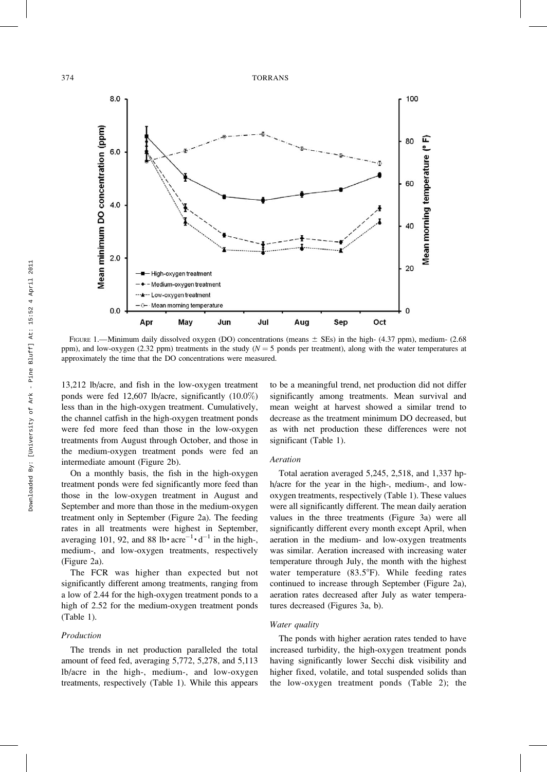

FIGURE 1.—Minimum daily dissolved oxygen (DO) concentrations (means  $\pm$  SEs) in the high- (4.37 ppm), medium- (2.68 ppm), and low-oxygen (2.32 ppm) treatments in the study ( $N = 5$  ponds per treatment), along with the water temperatures at approximately the time that the DO concentrations were measured.

13,212 lb/acre, and fish in the low-oxygen treatment ponds were fed 12,607 lb/acre, significantly (10.0%) less than in the high-oxygen treatment. Cumulatively, the channel catfish in the high-oxygen treatment ponds were fed more feed than those in the low-oxygen treatments from August through October, and those in the medium-oxygen treatment ponds were fed an intermediate amount (Figure 2b).

On a monthly basis, the fish in the high-oxygen treatment ponds were fed significantly more feed than those in the low-oxygen treatment in August and September and more than those in the medium-oxygen treatment only in September (Figure 2a). The feeding rates in all treatments were highest in September, averaging 101, 92, and 88 lb $\cdot$  acre<sup>-1</sup> $\cdot$  d<sup>-1</sup> in the high-, medium-, and low-oxygen treatments, respectively (Figure 2a).

The FCR was higher than expected but not significantly different among treatments, ranging from a low of 2.44 for the high-oxygen treatment ponds to a high of 2.52 for the medium-oxygen treatment ponds (Table 1).

#### Production

The trends in net production paralleled the total amount of feed fed, averaging 5,772, 5,278, and 5,113 lb/acre in the high-, medium-, and low-oxygen treatments, respectively (Table 1). While this appears to be a meaningful trend, net production did not differ significantly among treatments. Mean survival and mean weight at harvest showed a similar trend to decrease as the treatment minimum DO decreased, but as with net production these differences were not significant (Table 1).

## Aeration

Total aeration averaged 5,245, 2,518, and 1,337 hph/acre for the year in the high-, medium-, and lowoxygen treatments, respectively (Table 1). These values were all significantly different. The mean daily aeration values in the three treatments (Figure 3a) were all significantly different every month except April, when aeration in the medium- and low-oxygen treatments was similar. Aeration increased with increasing water temperature through July, the month with the highest water temperature  $(83.5^{\circ}F)$ . While feeding rates continued to increase through September (Figure 2a), aeration rates decreased after July as water temperatures decreased (Figures 3a, b).

#### Water quality

The ponds with higher aeration rates tended to have increased turbidity, the high-oxygen treatment ponds having significantly lower Secchi disk visibility and higher fixed, volatile, and total suspended solids than the low-oxygen treatment ponds (Table 2); the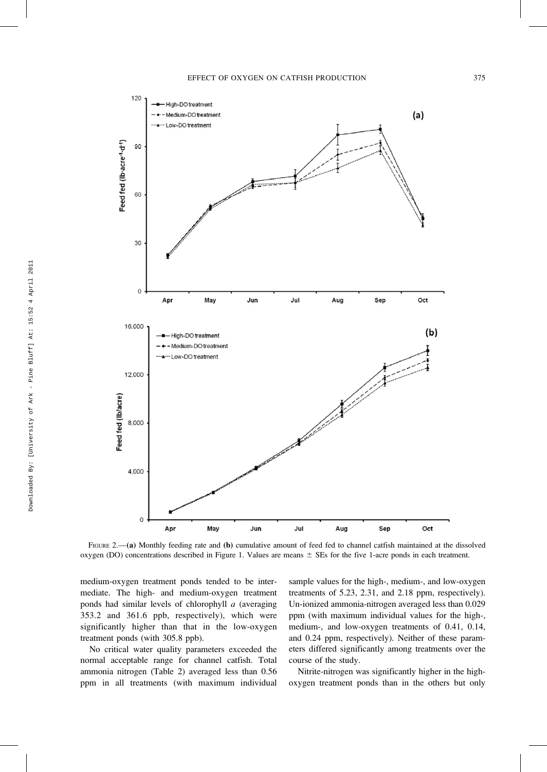

FIGURE 2.—(a) Monthly feeding rate and (b) cumulative amount of feed fed to channel catfish maintained at the dissolved oxygen (DO) concentrations described in Figure 1. Values are means  $\pm$  SEs for the five 1-acre ponds in each treatment.

medium-oxygen treatment ponds tended to be intermediate. The high- and medium-oxygen treatment ponds had similar levels of chlorophyll  $a$  (averaging 353.2 and 361.6 ppb, respectively), which were significantly higher than that in the low-oxygen treatment ponds (with 305.8 ppb).

No critical water quality parameters exceeded the normal acceptable range for channel catfish. Total ammonia nitrogen (Table 2) averaged less than 0.56 ppm in all treatments (with maximum individual sample values for the high-, medium-, and low-oxygen treatments of 5.23, 2.31, and 2.18 ppm, respectively). Un-ionized ammonia-nitrogen averaged less than 0.029 ppm (with maximum individual values for the high-, medium-, and low-oxygen treatments of 0.41, 0.14, and 0.24 ppm, respectively). Neither of these parameters differed significantly among treatments over the course of the study.

Nitrite-nitrogen was significantly higher in the highoxygen treatment ponds than in the others but only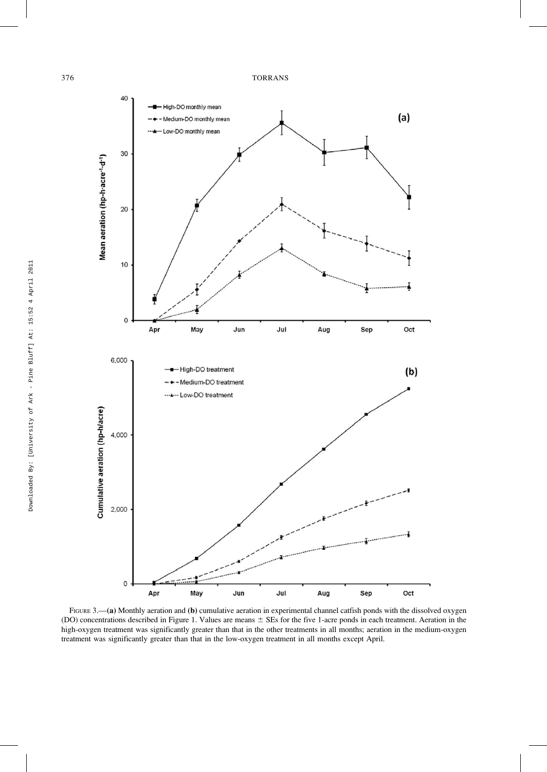

FIGURE 3.—(a) Monthly aeration and (b) cumulative aeration in experimental channel catfish ponds with the dissolved oxygen (DO) concentrations described in Figure 1. Values are means  $\pm$  SEs for the five 1-acre ponds in each treatment. Aeration in the high-oxygen treatment was significantly greater than that in the other treatments in all months; aeration in the medium-oxygen treatment was significantly greater than that in the low-oxygen treatment in all months except April.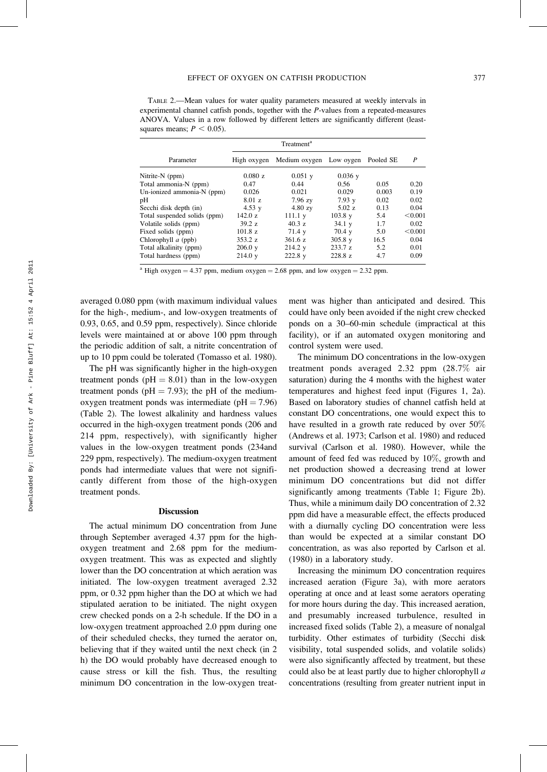TABLE 2.—Mean values for water quality parameters measured at weekly intervals in experimental channel catfish ponds, together with the P-values from a repeated-measures ANOVA. Values in a row followed by different letters are significantly different (leastsquares means;  $P < 0.05$ ).

| Treatment <sup>a</sup> |                   |                   |                         |                  |
|------------------------|-------------------|-------------------|-------------------------|------------------|
| High oxygen            |                   |                   | Pooled SE               | $\boldsymbol{P}$ |
| 0.080 z                | $0.051$ y         | $0.036$ y         |                         |                  |
| 0.47                   | 0.44              | 0.56              | 0.05                    | 0.20             |
| 0.026                  | 0.021             | 0.029             | 0.003                   | 0.19             |
| 8.01 z                 | $7.96$ zy         | 7.93y             | 0.02                    | 0.02             |
| 4.53 $y$               | $4.80$ zy         | 5.02 z            | 0.13                    | 0.04             |
| 142.0 z                | 111.1 v           | $103.8 \text{ y}$ | 5.4                     | < 0.001          |
| 39.2 z                 | 40.3 z            | 34.1 y            | 1.7                     | 0.02             |
| $101.8\ z$             | 71.4 y            | $70.4 \text{ v}$  | 5.0                     | < 0.001          |
| 353.2 z                | 361.6 z           | $305.8 \text{ y}$ | 16.5                    | 0.04             |
| $206.0 \text{ y}$      | 214.2 v           | 233.7 z           | 5.2                     | 0.01             |
| 214.0 y                | $222.8 \text{ y}$ | 228.8 z           | 4.7                     | 0.09             |
|                        |                   |                   | Medium oxygen Low oygen |                  |

<sup>a</sup> High oxygen = 4.37 ppm, medium oxygen = 2.68 ppm, and low oxygen = 2.32 ppm.

averaged 0.080 ppm (with maximum individual values for the high-, medium-, and low-oxygen treatments of 0.93, 0.65, and 0.59 ppm, respectively). Since chloride levels were maintained at or above 100 ppm through the periodic addition of salt, a nitrite concentration of up to 10 ppm could be tolerated (Tomasso et al. 1980).

The pH was significantly higher in the high-oxygen treatment ponds ( $pH = 8.01$ ) than in the low-oxygen treatment ponds ( $pH = 7.93$ ); the pH of the mediumoxygen treatment ponds was intermediate  $(pH = 7.96)$ (Table 2). The lowest alkalinity and hardness values occurred in the high-oxygen treatment ponds (206 and 214 ppm, respectively), with significantly higher values in the low-oxygen treatment ponds (234and 229 ppm, respectively). The medium-oxygen treatment ponds had intermediate values that were not significantly different from those of the high-oxygen treatment ponds.

## Discussion

The actual minimum DO concentration from June through September averaged 4.37 ppm for the highoxygen treatment and 2.68 ppm for the mediumoxygen treatment. This was as expected and slightly lower than the DO concentration at which aeration was initiated. The low-oxygen treatment averaged 2.32 ppm, or 0.32 ppm higher than the DO at which we had stipulated aeration to be initiated. The night oxygen crew checked ponds on a 2-h schedule. If the DO in a low-oxygen treatment approached 2.0 ppm during one of their scheduled checks, they turned the aerator on, believing that if they waited until the next check (in 2 h) the DO would probably have decreased enough to cause stress or kill the fish. Thus, the resulting minimum DO concentration in the low-oxygen treat-

ment was higher than anticipated and desired. This could have only been avoided if the night crew checked ponds on a 30–60-min schedule (impractical at this facility), or if an automated oxygen monitoring and control system were used.

The minimum DO concentrations in the low-oxygen treatment ponds averaged 2.32 ppm (28.7% air saturation) during the 4 months with the highest water temperatures and highest feed input (Figures 1, 2a). Based on laboratory studies of channel catfish held at constant DO concentrations, one would expect this to have resulted in a growth rate reduced by over 50% (Andrews et al. 1973; Carlson et al. 1980) and reduced survival (Carlson et al. 1980). However, while the amount of feed fed was reduced by 10%, growth and net production showed a decreasing trend at lower minimum DO concentrations but did not differ significantly among treatments (Table 1; Figure 2b). Thus, while a minimum daily DO concentration of 2.32 ppm did have a measurable effect, the effects produced with a diurnally cycling DO concentration were less than would be expected at a similar constant DO concentration, as was also reported by Carlson et al. (1980) in a laboratory study.

Increasing the minimum DO concentration requires increased aeration (Figure 3a), with more aerators operating at once and at least some aerators operating for more hours during the day. This increased aeration, and presumably increased turbulence, resulted in increased fixed solids (Table 2), a measure of nonalgal turbidity. Other estimates of turbidity (Secchi disk visibility, total suspended solids, and volatile solids) were also significantly affected by treatment, but these could also be at least partly due to higher chlorophyll a concentrations (resulting from greater nutrient input in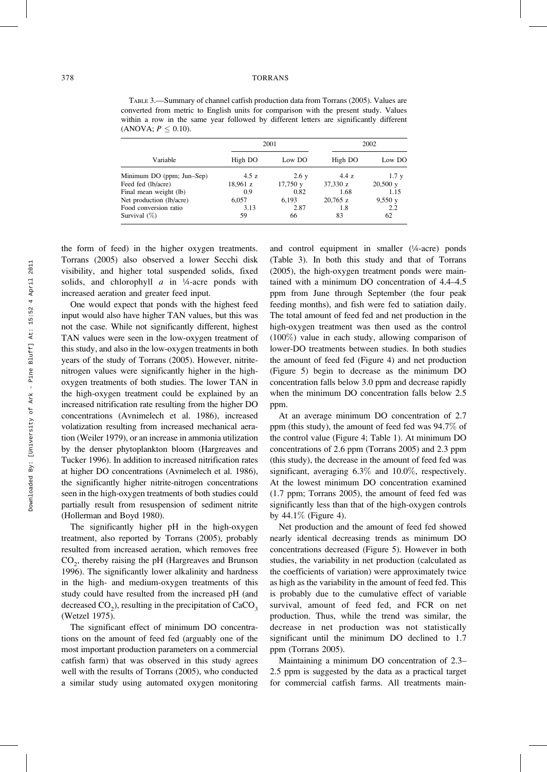### 378 TORRANS

TABLE 3.—Summary of channel catfish production data from Torrans (2005). Values are converted from metric to English units for comparison with the present study. Values within a row in the same year followed by different letters are significantly different (ANOVA;  $P \leq 0.10$ ).

|                           | 2001     |         | 2002       |                    |
|---------------------------|----------|---------|------------|--------------------|
| Variable                  | High DO  | Low DO  | High DO    | Low DO             |
| Minimum DO (ppm; Jun-Sep) | 4.5z     | 2.6 y   | 4.4z       | 1.7 <sub>v</sub>   |
| Feed fed (lb/acre)        | 18,961 z | 17,750y | 37,330 z   | $20,500 \text{ y}$ |
| Final mean weight (lb)    | 0.9      | 0.82    | 1.68       | 1.15               |
| Net production (lb/acre)  | 6.057    | 6.193   | $20,765$ z | 9,550y             |
| Food conversion ratio     | 3.13     | 2.87    | 1.8        | 2.2                |
| Survival (%)              | 59       | 66      | 83         | 62                 |

the form of feed) in the higher oxygen treatments. Torrans (2005) also observed a lower Secchi disk visibility, and higher total suspended solids, fixed solids, and chlorophyll  $a$  in  $\frac{1}{4}$ -acre ponds with increased aeration and greater feed input.

One would expect that ponds with the highest feed input would also have higher TAN values, but this was not the case. While not significantly different, highest TAN values were seen in the low-oxygen treatment of this study, and also in the low-oxygen treatments in both years of the study of Torrans (2005). However, nitritenitrogen values were significantly higher in the highoxygen treatments of both studies. The lower TAN in the high-oxygen treatment could be explained by an increased nitrification rate resulting from the higher DO concentrations (Avnimelech et al. 1986), increased volatization resulting from increased mechanical aeration (Weiler 1979), or an increase in ammonia utilization by the denser phytoplankton bloom (Hargreaves and Tucker 1996). In addition to increased nitrification rates at higher DO concentrations (Avnimelech et al. 1986), the significantly higher nitrite-nitrogen concentrations seen in the high-oxygen treatments of both studies could partially result from resuspension of sediment nitrite (Hollerman and Boyd 1980).

The significantly higher pH in the high-oxygen treatment, also reported by Torrans (2005), probably resulted from increased aeration, which removes free  $CO<sub>2</sub>$ , thereby raising the pH (Hargreaves and Brunson 1996). The significantly lower alkalinity and hardness in the high- and medium-oxygen treatments of this study could have resulted from the increased pH (and decreased  $CO_2$ ), resulting in the precipitation of  $CaCO_3$ (Wetzel 1975).

The significant effect of minimum DO concentrations on the amount of feed fed (arguably one of the most important production parameters on a commercial catfish farm) that was observed in this study agrees well with the results of Torrans (2005), who conducted a similar study using automated oxygen monitoring

and control equipment in smaller (¼-acre) ponds (Table 3). In both this study and that of Torrans (2005), the high-oxygen treatment ponds were maintained with a minimum DO concentration of 4.4–4.5 ppm from June through September (the four peak feeding months), and fish were fed to satiation daily. The total amount of feed fed and net production in the high-oxygen treatment was then used as the control (100%) value in each study, allowing comparison of lower-DO treatments between studies. In both studies the amount of feed fed (Figure 4) and net production (Figure 5) begin to decrease as the minimum DO concentration falls below 3.0 ppm and decrease rapidly when the minimum DO concentration falls below 2.5 ppm.

At an average minimum DO concentration of 2.7 ppm (this study), the amount of feed fed was 94.7% of the control value (Figure 4; Table 1). At minimum DO concentrations of 2.6 ppm (Torrans 2005) and 2.3 ppm (this study), the decrease in the amount of feed fed was significant, averaging 6.3% and 10.0%, respectively. At the lowest minimum DO concentration examined (1.7 ppm; Torrans 2005), the amount of feed fed was significantly less than that of the high-oxygen controls by 44.1% (Figure 4).

Net production and the amount of feed fed showed nearly identical decreasing trends as minimum DO concentrations decreased (Figure 5). However in both studies, the variability in net production (calculated as the coefficients of variation) were approximately twice as high as the variability in the amount of feed fed. This is probably due to the cumulative effect of variable survival, amount of feed fed, and FCR on net production. Thus, while the trend was similar, the decrease in net production was not statistically significant until the minimum DO declined to 1.7 ppm (Torrans 2005).

Maintaining a minimum DO concentration of 2.3– 2.5 ppm is suggested by the data as a practical target for commercial catfish farms. All treatments main-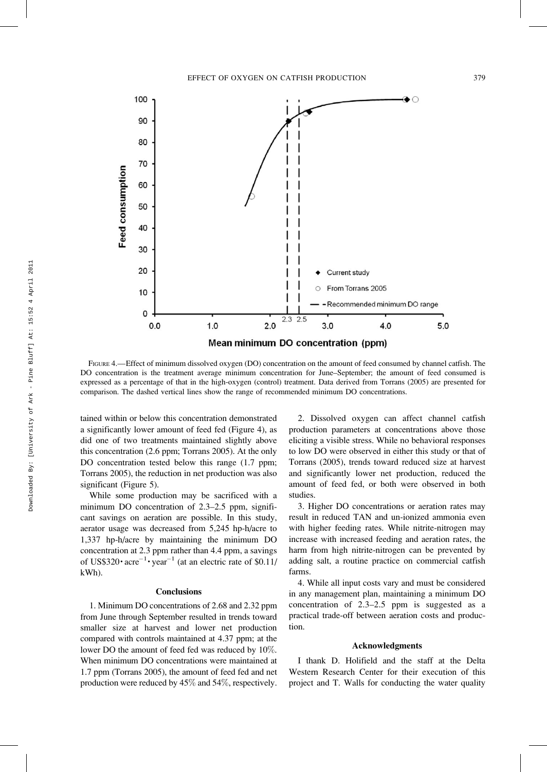

FIGURE 4.—Effect of minimum dissolved oxygen (DO) concentration on the amount of feed consumed by channel catfish. The DO concentration is the treatment average minimum concentration for June–September; the amount of feed consumed is expressed as a percentage of that in the high-oxygen (control) treatment. Data derived from Torrans (2005) are presented for comparison. The dashed vertical lines show the range of recommended minimum DO concentrations.

tained within or below this concentration demonstrated a significantly lower amount of feed fed (Figure 4), as did one of two treatments maintained slightly above this concentration (2.6 ppm; Torrans 2005). At the only DO concentration tested below this range  $(1.7$  ppm; Torrans 2005), the reduction in net production was also significant (Figure 5).

While some production may be sacrificed with a minimum DO concentration of 2.3–2.5 ppm, significant savings on aeration are possible. In this study, aerator usage was decreased from 5,245 hp-h/acre to 1,337 hp-h/acre by maintaining the minimum DO concentration at 2.3 ppm rather than 4.4 ppm, a savings of US\$320 $\cdot$  acre<sup>-1</sup> $\cdot$  year<sup>-1</sup> (at an electric rate of \$0.11/ kWh).

### Conclusions

1. Minimum DO concentrations of 2.68 and 2.32 ppm from June through September resulted in trends toward smaller size at harvest and lower net production compared with controls maintained at 4.37 ppm; at the lower DO the amount of feed fed was reduced by 10%. When minimum DO concentrations were maintained at 1.7 ppm (Torrans 2005), the amount of feed fed and net production were reduced by 45% and 54%, respectively.

2. Dissolved oxygen can affect channel catfish production parameters at concentrations above those eliciting a visible stress. While no behavioral responses to low DO were observed in either this study or that of Torrans (2005), trends toward reduced size at harvest and significantly lower net production, reduced the amount of feed fed, or both were observed in both studies.

3. Higher DO concentrations or aeration rates may result in reduced TAN and un-ionized ammonia even with higher feeding rates. While nitrite-nitrogen may increase with increased feeding and aeration rates, the harm from high nitrite-nitrogen can be prevented by adding salt, a routine practice on commercial catfish farms.

4. While all input costs vary and must be considered in any management plan, maintaining a minimum DO concentration of 2.3–2.5 ppm is suggested as a practical trade-off between aeration costs and production.

#### Acknowledgments

I thank D. Holifield and the staff at the Delta Western Research Center for their execution of this project and T. Walls for conducting the water quality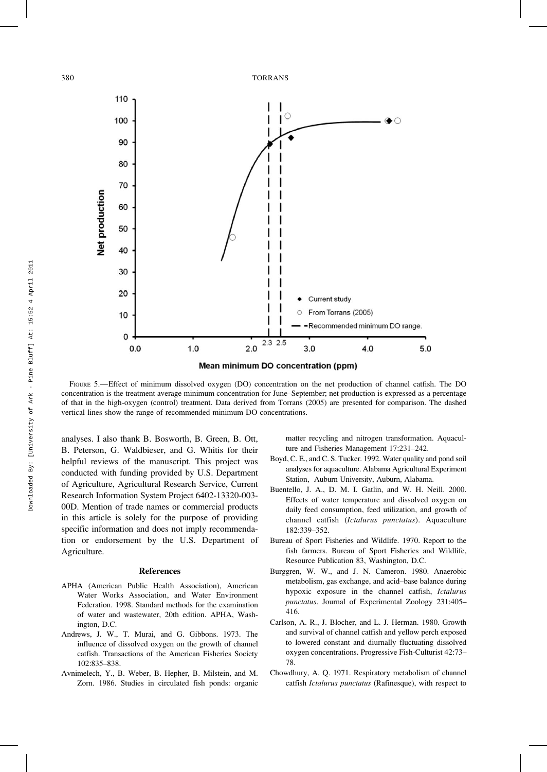380 TORRANS



FIGURE 5.-Effect of minimum dissolved oxygen (DO) concentration on the net production of channel catfish. The DO concentration is the treatment average minimum concentration for June–September; net production is expressed as a percentage of that in the high-oxygen (control) treatment. Data derived from Torrans (2005) are presented for comparison. The dashed vertical lines show the range of recommended minimum DO concentrations.

analyses. I also thank B. Bosworth, B. Green, B. Ott, B. Peterson, G. Waldbieser, and G. Whitis for their helpful reviews of the manuscript. This project was conducted with funding provided by U.S. Department of Agriculture, Agricultural Research Service, Current Research Information System Project 6402-13320-003- 00D. Mention of trade names or commercial products in this article is solely for the purpose of providing specific information and does not imply recommendation or endorsement by the U.S. Department of Agriculture.

#### References

- APHA (American Public Health Association), American Water Works Association, and Water Environment Federation. 1998. Standard methods for the examination of water and wastewater, 20th edition. APHA, Washington, D.C.
- Andrews, J. W., T. Murai, and G. Gibbons. 1973. The influence of dissolved oxygen on the growth of channel catfish. Transactions of the American Fisheries Society 102:835–838.
- Avnimelech, Y., B. Weber, B. Hepher, B. Milstein, and M. Zorn. 1986. Studies in circulated fish ponds: organic

matter recycling and nitrogen transformation. Aquaculture and Fisheries Management 17:231–242.

- Boyd, C. E., and C. S. Tucker. 1992. Water quality and pond soil analyses for aquaculture. Alabama Agricultural Experiment Station, Auburn University, Auburn, Alabama.
- Buentello, J. A., D. M. I. Gatlin, and W. H. Neill. 2000. Effects of water temperature and dissolved oxygen on daily feed consumption, feed utilization, and growth of channel catfish (Ictalurus punctatus). Aquaculture 182:339–352.
- Bureau of Sport Fisheries and Wildlife. 1970. Report to the fish farmers. Bureau of Sport Fisheries and Wildlife, Resource Publication 83, Washington, D.C.
- Burggren, W. W., and J. N. Cameron. 1980. Anaerobic metabolism, gas exchange, and acid–base balance during hypoxic exposure in the channel catfish, Ictalurus punctatus. Journal of Experimental Zoology 231:405– 416.
- Carlson, A. R., J. Blocher, and L. J. Herman. 1980. Growth and survival of channel catfish and yellow perch exposed to lowered constant and diurnally fluctuating dissolved oxygen concentrations. Progressive Fish-Culturist 42:73– 78.
- Chowdhury, A. Q. 1971. Respiratory metabolism of channel catfish Ictalurus punctatus (Rafinesque), with respect to